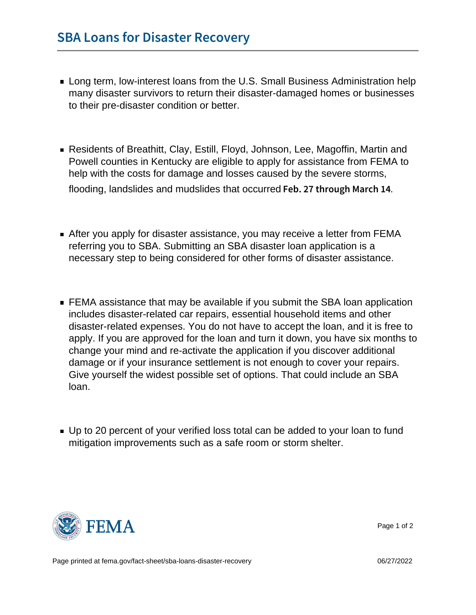- **Long term, low-interest loans from the U.S. Small Business Administration help** many disaster survivors to return their disaster-damaged homes or businesses to their pre-disaster condition or better.
- Residents of Breathitt, Clay, Estill, Floyd, Johnson, Lee, Magoffin, Martin and Powell counties in Kentucky are eligible to apply for assistance from FEMA to help with the costs for damage and losses caused by the severe storms, flooding, landslides and mudslides that occurred Feb. 27 through March 14
- After you apply for disaster assistance, you may receive a letter from FEMA referring you to SBA. Submitting an SBA disaster loan application is a necessary step to being considered for other forms of disaster assistance.
- **FEMA** assistance that may be available if you submit the SBA loan application includes disaster-related car repairs, essential household items and other disaster-related expenses. You do not have to accept the loan, and it is free to apply. If you are approved for the loan and turn it down, you have six months to change your mind and re-activate the application if you discover additional damage or if your insurance settlement is not enough to cover your repairs. Give yourself the widest possible set of options. That could include an SBA loan.
- Up to 20 percent of your verified loss total can be added to your loan to fund mitigation improvements such as a safe room or storm shelter.



Page 1 of 2

Page printed at [fema.gov/fact-sheet/sba-loans-disaster-recovery](https://www.fema.gov/fact-sheet/sba-loans-disaster-recovery) 06/27/2022